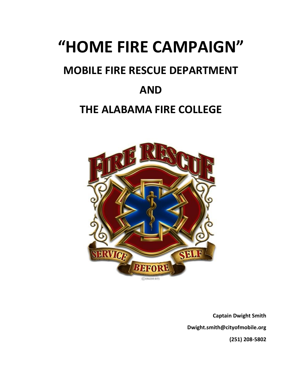# **"HOME FIRE CAMPAIGN"**

## **MOBILE FIRE RESCUE DEPARTMENT**

### **AND**

### **THE ALABAMA FIRE COLLEGE**



**Captain Dwight Smith Dwight.smith@cityofmobile.org (251) 208-5802**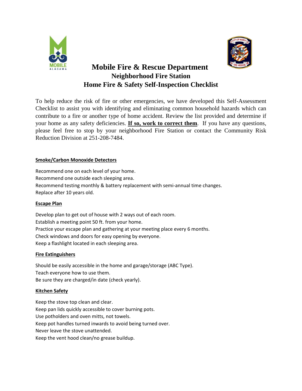



### **Mobile Fire & Rescue Department Neighborhood Fire Station Home Fire & Safety Self-Inspection Checklist**

To help reduce the risk of fire or other emergencies, we have developed this Self-Assessment Checklist to assist you with identifying and eliminating common household hazards which can contribute to a fire or another type of home accident. Review the list provided and determine if your home as any safety deficiencies. **If so, work to correct them**. If you have any questions, please feel free to stop by your neighborhood Fire Station or contact the Community Risk Reduction Division at 251-208-7484.

#### **Smoke/Carbon Monoxide Detectors**

Recommend one on each level of your home. Recommend one outside each sleeping area. Recommend testing monthly & battery replacement with semi-annual time changes. Replace after 10 years old.

#### **Escape Plan**

Develop plan to get out of house with 2 ways out of each room. Establish a meeting point 50 ft. from your home. Practice your escape plan and gathering at your meeting place every 6 months. Check windows and doors for easy opening by everyone. Keep a flashlight located in each sleeping area.

#### **Fire Extinguishers**

Should be easily accessible in the home and garage/storage (ABC Type). Teach everyone how to use them. Be sure they are charged/in date (check yearly).

#### **Kitchen Safety**

Keep the stove top clean and clear. Keep pan lids quickly accessible to cover burning pots. Use potholders and oven mitts, not towels. Keep pot handles turned inwards to avoid being turned over. Never leave the stove unattended. Keep the vent hood clean/no grease buildup.